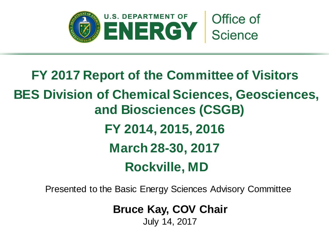

# **FY 2017 Report of the Committee of Visitors BES Division of Chemical Sciences, Geosciences, and Biosciences (CSGB) FY 2014, 2015, 2016 March 28-30, 2017 Rockville, MD**

Presented to the Basic Energy Sciences Advisory Committee

**Bruce Kay, COV Chair**

July 14, 2017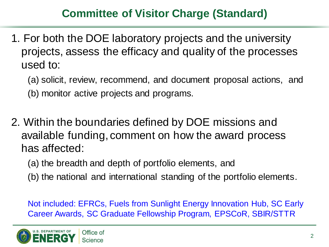## **Committee of Visitor Charge (Standard)**

- 1. For both the DOE laboratory projects and the university projects, assess the efficacy and quality of the processes used to:
	- (a) solicit, review, recommend, and document proposal actions, and (b) monitor active projects and programs.
- 2. Within the boundaries defined by DOE missions and available funding, comment on how the award process has affected:
	- (a) the breadth and depth of portfolio elements, and
	- (b) the national and international standing of the portfolio elements.

Not included: EFRCs, Fuels from Sunlight Energy Innovation Hub, SC Early Career Awards, SC Graduate Fellowship Program, EPSCoR, SBIR/STTR

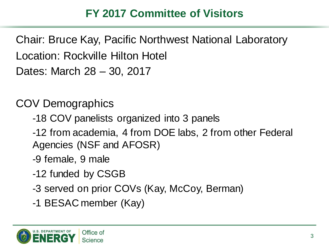## **FY 2017 Committee of Visitors**

Chair: Bruce Kay, Pacific Northwest National Laboratory Location: Rockville Hilton Hotel Dates: March 28 – 30, 2017

COV Demographics

- -18 COV panelists organized into 3 panels
- -12 from academia, 4 from DOE labs, 2 from other Federal Agencies (NSF and AFOSR)
- -9 female, 9 male
- -12 funded by CSGB
- -3 served on prior COVs (Kay, McCoy, Berman)
- -1 BESAC member (Kay)

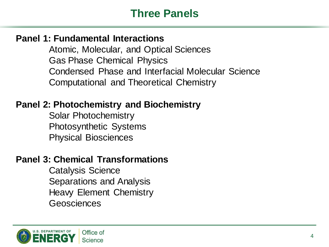#### **Three Panels**

#### **Panel 1: Fundamental Interactions**

Atomic, Molecular, and Optical Sciences Gas Phase Chemical Physics Condensed Phase and Interfacial Molecular Science Computational and Theoretical Chemistry

#### **Panel 2: Photochemistry and Biochemistry**

Solar Photochemistry Photosynthetic Systems Physical Biosciences

#### **Panel 3: Chemical Transformations**

Catalysis Science Separations and Analysis Heavy Element Chemistry Geosciences

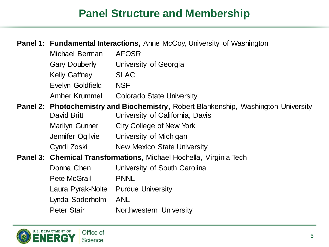### **Panel Structure and Membership**

#### **Panel 1: Fundamental Interactions,** Anne McCoy, University of Washington

| Michael Berman                      | <b>AFOSR</b>                                                                                                                   |
|-------------------------------------|--------------------------------------------------------------------------------------------------------------------------------|
| <b>Gary Douberly</b>                | University of Georgia                                                                                                          |
| <b>Kelly Gaffney</b>                | <b>SLAC</b>                                                                                                                    |
| Evelyn Goldfield                    | <b>NSF</b>                                                                                                                     |
| Amber Krummel                       | <b>Colorado State University</b>                                                                                               |
| David Britt                         | <b>Panel 2: Photochemistry and Biochemistry</b> , Robert Blankenship, Washington University<br>University of California, Davis |
| <b>Marilyn Gunner</b>               | City College of New York                                                                                                       |
| Jennifer Ogilvie                    | University of Michigan                                                                                                         |
| Cyndi Zoski                         | <b>New Mexico State University</b>                                                                                             |
|                                     | Panel 3: Chemical Transformations, Michael Hochella, Virginia Tech                                                             |
| Donna Chen                          | University of South Carolina                                                                                                   |
| Pete McGrail                        | <b>PNNL</b>                                                                                                                    |
| Laura Pyrak-Nolte Purdue University |                                                                                                                                |
| Lynda Soderholm                     | <b>ANL</b>                                                                                                                     |
| <b>Peter Stair</b>                  | Northwestern University                                                                                                        |

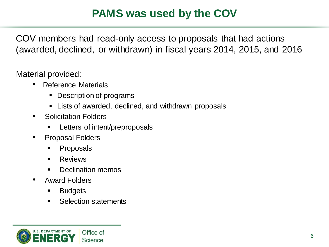## **PAMS was used by the COV**

COV members had read-only access to proposals that had actions (awarded, declined, or withdrawn) in fiscal years 2014, 2015, and 2016

Material provided:

- Reference Materials
	- Description of programs
	- **EXTER** Lists of awarded, declined, and withdrawn proposals
- Solicitation Folders
	- Letters of intent/preproposals
- Proposal Folders
	- Proposals
	- **Reviews**
	- Declination memos
- Award Folders
	- **Budgets**
	- **Selection statements**

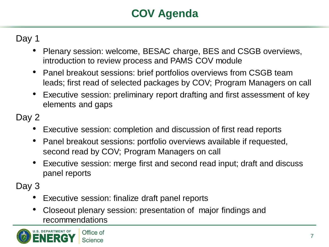## **COV Agenda**

Day 1

- Plenary session: welcome, BESAC charge, BES and CSGB overviews, introduction to review process and PAMS COV module
- Panel breakout sessions: brief portfolios overviews from CSGB team leads; first read of selected packages by COV; Program Managers on call
- Executive session: preliminary report drafting and first assessment of key elements and gaps

Day 2

- Executive session: completion and discussion of first read reports
- Panel breakout sessions: portfolio overviews available if requested, second read by COV; Program Managers on call
- Executive session: merge first and second read input; draft and discuss panel reports

Day 3

- Executive session: finalize draft panel reports
- Closeout plenary session: presentation of major findings and recommendations

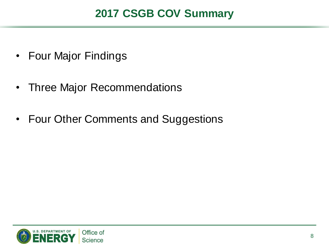### **2017 CSGB COV Summary**

- Four Major Findings
- Three Major Recommendations
- Four Other Comments and Suggestions

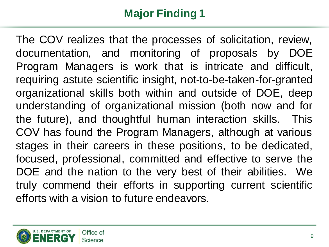The COV realizes that the processes of solicitation, review, documentation, and monitoring of proposals by DOE Program Managers is work that is intricate and difficult, requiring astute scientific insight, not-to-be-taken-for-granted organizational skills both within and outside of DOE, deep understanding of organizational mission (both now and for the future), and thoughtful human interaction skills. This COV has found the Program Managers, although at various stages in their careers in these positions, to be dedicated, focused, professional, committed and effective to serve the DOE and the nation to the very best of their abilities. We truly commend their efforts in supporting current scientific efforts with a vision to future endeavors.

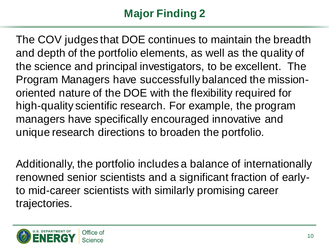The COV judges that DOE continues to maintain the breadth and depth of the portfolio elements, as well as the quality of the science and principal investigators, to be excellent. The Program Managers have successfully balanced the missionoriented nature of the DOE with the flexibility required for high-quality scientific research. For example, the program managers have specifically encouraged innovative and unique research directions to broaden the portfolio.

Additionally, the portfolio includes a balance of internationally renowned senior scientists and a significant fraction of earlyto mid-career scientists with similarly promising career trajectories.

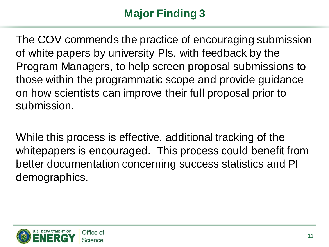The COV commends the practice of encouraging submission of white papers by university PIs, with feedback by the Program Managers, to help screen proposal submissions to those within the programmatic scope and provide guidance on how scientists can improve their full proposal prior to submission.

While this process is effective, additional tracking of the whitepapers is encouraged. This process could benefit from better documentation concerning success statistics and PI demographics.

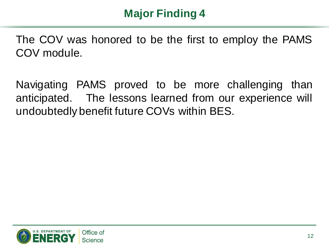The COV was honored to be the first to employ the PAMS COV module.

Navigating PAMS proved to be more challenging than anticipated. The lessons learned from our experience will undoubtedly benefit future COVs within BES.

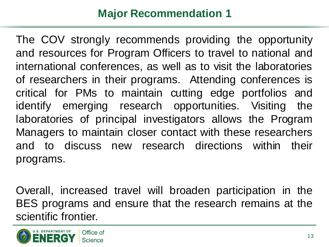## **Major Recommendation 1**

The COV strongly recommends providing the opportunity and resources for Program Officers to travel to national and international conferences, as well as to visit the laboratories of researchers in their programs. Attending conferences is critical for PMs to maintain cutting edge portfolios and identify emerging research opportunities. Visiting the laboratories of principal investigators allows the Program Managers to maintain closer contact with these researchers and to discuss new research directions within their programs.

Overall, increased travel will broaden participation in the BES programs and ensure that the research remains at the scientific frontier.

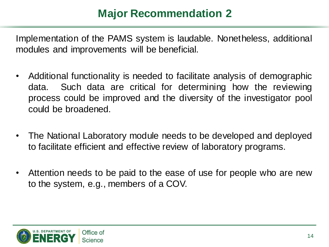## **Major Recommendation 2**

Implementation of the PAMS system is laudable. Nonetheless, additional modules and improvements will be beneficial.

- Additional functionality is needed to facilitate analysis of demographic data. Such data are critical for determining how the reviewing process could be improved and the diversity of the investigator pool could be broadened.
- The National Laboratory module needs to be developed and deployed to facilitate efficient and effective review of laboratory programs.
- Attention needs to be paid to the ease of use for people who are new to the system, e.g., members of a COV.

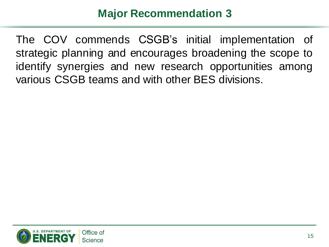### **Major Recommendation 3**

The COV commends CSGB's initial implementation of strategic planning and encourages broadening the scope to identify synergies and new research opportunities among various CSGB teams and with other BES divisions.

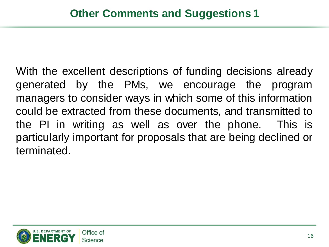With the excellent descriptions of funding decisions already generated by the PMs, we encourage the program managers to consider ways in which some of this information could be extracted from these documents, and transmitted to the PI in writing as well as over the phone. This is particularly important for proposals that are being declined or terminated.

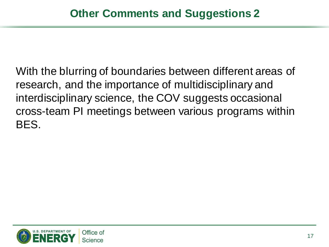With the blurring of boundaries between different areas of research, and the importance of multidisciplinary and interdisciplinary science, the COV suggests occasional cross-team PI meetings between various programs within BES.

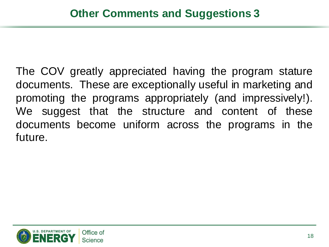The COV greatly appreciated having the program stature documents. These are exceptionally useful in marketing and promoting the programs appropriately (and impressively!). We suggest that the structure and content of these documents become uniform across the programs in the future.

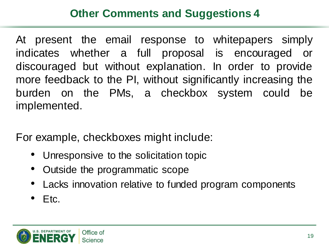## **Other Comments and Suggestions 4**

At present the email response to whitepapers simply indicates whether a full proposal is encouraged or discouraged but without explanation. In order to provide more feedback to the PI, without significantly increasing the burden on the PMs, a checkbox system could be implemented.

For example, checkboxes might include:

- Unresponsive to the solicitation topic
- Outside the programmatic scope
- Lacks innovation relative to funded program components
- $\bullet$  Etc.